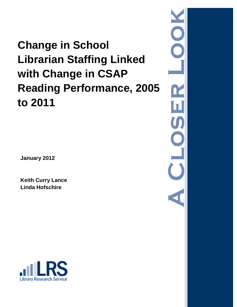# **Change in School Librarian Staffing Linked with Change in CSAP Reading Performance, 2005 to 2011**

C  $\mathbf{r}$  $\boxed{\mathbf{I}}$ U C 

**January 2012**

**Keith Curry Lance Linda Hofschire**

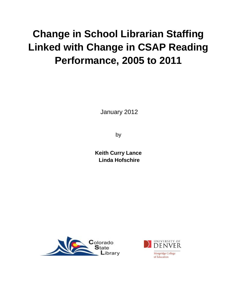## **Change in School Librarian Staffing Linked with Change in CSAP Reading Performance, 2005 to 2011**

January 2012

by

**Keith Curry Lance Linda Hofschire**



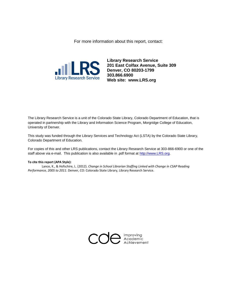For more information about this report, contact:



**Library Research Service 201 East Colfax Avenue, Suite 309 Denver, CO 80203-1799 303.866.6900 Web site: www.LRS.org**

The Library Research Service is a unit of the Colorado State Library, Colorado Department of Education, that is operated in partnership with the Library and Information Science Program, Morgridge College of Education, University of Denver.

This study was funded through the Library Services and Technology Act (LSTA) by the Colorado State Library, Colorado Department of Education.

For copies of this and other LRS publications, contact the Library Research Service at 303-866-6900 or one of the staff above via e-mail. This publication is also available in .pdf format at [http://www.LRS.org.](http://www.lrs.org/)

#### **To cite this report (APA Style):**

Lance, K., & Hofschire, L. (2012). *Change in School Librarian Staffing Linked with Change in CSAP Reading Performance, 2005 to 2011*. Denver, CO: Colorado State Library, Library Research Service.

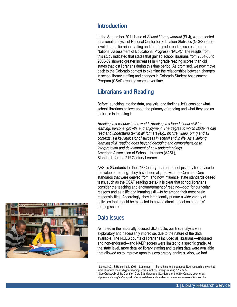## **Introduction**

In the September 2011 issue of *School Library Journal* (SLJ), we presented a national analysis of National Center for Education Statistics (NCES) statelevel data on librarian staffing and fourth-grade reading scores from the National Assessment of Educational Progress (NAEP).<sup>1</sup> The results from this study indicated that states that gained school librarians from 2004-05 to 2008-09 showed greater increases in  $4<sup>th</sup>$  grade reading scores than did states that lost librarians during this time period. As promised, we now move back to the Colorado context to examine the relationships between changes in school library staffing and changes in Colorado Student Assessment Program (CSAP) reading scores over time.

## **Librarians and Reading**

Before launching into the data, analysis, and findings, let's consider what school librarians believe about the primacy of reading and what they see as their role in teaching it.

*Reading is a window to the world. Reading is a foundational skill for learning, personal growth, and enjoyment. The degree to which students can read and understand text in all formats (e.g., picture, video, print) and all contexts is a key indicator of success in school and in life. As a lifelong learning skill, reading goes beyond decoding and comprehension to interpretation and development of new understandings.* American Association of School Librarians (AASL), Standards for the 21st Century Learner

AASL's Standards for the 21st Century Learner do not just pay lip-service to the value of reading. They have been aligned with the Common Core standards that were derived from, and now influence, state standards-based tests, such as the CSAP reading tests.<sup>2</sup> It is clear that school librarians consider the teaching and encouragement of reading—both for curricular reasons and as a lifelong learning skill—to be among their most basic responsibilities. Accordingly, they intentionally pursue a wide variety of activities that should be expected to have a direct impact on students' reading scores.



## Data Issues

l

As noted in the nationally focused SLJ article, our first analysis was exploratory and necessarily imprecise, due to the nature of the data available. The NCES counts of librarians included all librarians—endorsed and non-endorsed—and NAEP scores were limited to a specific grade. At the state level, more detailed library staffing and testing data were available that allowed us to improve upon this exploratory analysis. Also, we had

<sup>1</sup> Lance, K.C., & Hofschire, L. (2011, September 1). Something to shout about: New research shows that more librarians means higher reading scores. *School Library Journal, 57,* 28-33.

<sup>&</sup>lt;sup>2</sup> See Crosswalk of the Common Core Standards and Standards for the 21<sup>st</sup> Century Learner at: http://www.ala.org/ala/mgrps/divs/aasl/guidelinesandstandards/commoncorecrosswalk/index.cfm.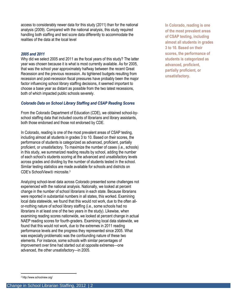access to considerably newer data for this study (2011) than for the national analysis (2009). Compared with the national analysis, this study required handling both staffing and test score data differently to accommodate the realities of the data at the local level

#### *2005 and 2011*

Why did we select 2005 and 2011 as the focal years of this study? The latter year was chosen because it is what is most currently available. As for 2005, that was the school year approximately halfway between the recent Great Recession and the previous recession. As tightened budgets resulting from recession and post-recession fiscal pressures have probably been the major factor influencing school library staffing decisions, it seemed important to choose a base year as distant as possible from the two latest recessions, both of which impacted public schools severely.

#### *Colorado Data on School Library Staffing and CSAP Reading Scores*

From the Colorado Department of Education (CDE), we obtained school-byschool staffing data that included counts of librarians and library assistants, both those endorsed and those not endorsed by CDE.

In Colorado, reading is one of the most prevalent areas of CSAP testing, including almost all students in grades 3 to 10. Based on their scores, the performance of students is categorized as advanced, proficient, partially proficient, or unsatisfactory. To maximize the number of cases (i.e., schools) in this study, we summarized reading results by school, adding the number of each school's students scoring at the advanced and unsatisfactory levels across grades and dividing by the number of students tested in the school. Similar testing statistics are made available for schools and districts on CDE's SchoolView<sup>®</sup> microsite.<sup>3</sup>

Analyzing school-level data across Colorado presented some challenges not experienced with the national analysis. Nationally, we looked at percent change in the number of school librarians in each state. Because librarians were reported in substantial numbers in all states, this worked. Examining local data statewide, we found that this would not work, due to the often allor-nothing nature of school library staffing (i.e., some schools had no librarians in at least one of the two years in the study). Likewise, when examining reading scores nationwide, we looked at percent change in actual NAEP reading scores for fourth-graders. Examining local data statewide, we found that this would not work, due to the extremes in 2011 reading performance levels and the progress they represented since 2005. What was especially problematic was the confounding nature of these two elements. For instance, some schools with similar percentages of improvement over time had started out at opposite extremes—one advanced, the other unsatisfactory—in 2005.

**In Colorado, reading is one of the most prevalent areas of CSAP testing, including almost all students in grades 3 to 10. Based on their scores, the performance of students is categorized as advanced, proficient, partially proficient, or unsatisfactory.**

 $\overline{\phantom{a}}$ 

<sup>3</sup> http://www.schoolview.org/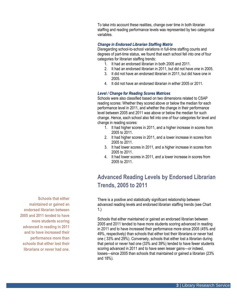To take into account these realities, change over time in both librarian staffing and reading performance levels was represented by two categorical variables.

#### *Change in Endorsed Librarian Staffing Matrix*

Disregarding school-to-school variations in full-time staffing counts and degrees of part-time status, we found that each school fell into one of four categories for librarian staffing trends:

- 1. It had an endorsed librarian in both 2005 and 2011.
- 2. It had an endorsed librarian in 2011, but did not have one in 2005.
- 3. It did not have an endorsed librarian in 2011, but did have one in 2005.
- 4. It did not have an endorsed librarian in either 2005 or 2011.

#### *Level / Change for Reading Scores Matrices*

Schools were also classified based on two dimensions related to CSAP reading scores: Whether they scored above or below the median for each performance level in 2011, and whether the change in their performance level between 2005 and 2011 was above or below the median for such change. Hence, each school also fell into one of four categories for level and change in reading scores:

- 1. It had higher scores in 2011, and a higher increase in scores from 2005 to 2011.
- 2. It had higher scores in 2011, and a lower increase in scores from 2005 to 2011.
- 3. It had lower scores in 2011, and a higher increase in scores from 2005 to 2011.
- 4. It had lower scores in 2011, and a lower increase in scores from 2005 to 2011.

## **Advanced Reading Levels by Endorsed Librarian Trends, 2005 to 2011**

There is a positive and statistically significant relationship between advanced reading levels and endorsed librarian staffing trends (see Chart 1.)

Schools that either maintained or gained an endorsed librarian between 2005 and 2011 tended to have more students scoring advanced in reading in 2011 and to have increased their performance more since 2005 (45% and 49%, respectively) than schools that either lost their librarians or never had one ( 33% and 29%). Conversely, schools that either lost a librarian during that period or never had one (33% and 39%) tended to have fewer students scoring advanced in 2011 and to have seen lesser gains—or indeed, losses—since 2005 than schools that maintained or gained a librarian (23% and 18%).

**Schools that either maintained or gained an endorsed librarian between 2005 and 2011 tended to have more students scoring advanced in reading in 2011 and to have increased their performance more than schools that either lost their librarians or never had one.**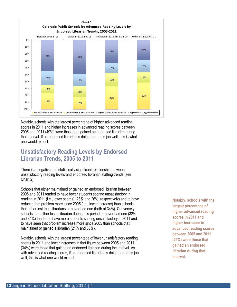

Notably, schools with the largest percentage of higher advanced reading scores in 2011 and higher increases in advanced reading scores between 2005 and 2011 (49%) were those that gained an endorsed librarian during that interval. If an endorsed librarian is doing her or his job well, this is what one would expect.

## **Unsatisfactory Reading Levels by Endorsed Librarian Trends, 2005 to 2011**

There is a negative and statistically significant relationship between unsatisfactory reading levels and endorsed librarian staffing trends (see Chart 2).

Schools that either maintained or gained an endorsed librarian between 2005 and 2011 tended to have fewer students scoring unsatisfactory in reading in 2011 (i.e., lower scores) (28% and 26%, respectively) and to have reduced that problem more since 2005 (i.e., lower increase) than schools that either lost their librarians or never had one (both at 34%). Conversely, schools that either lost a librarian during this period or never had one (32% and 34%) tended to have more students scoring unsatisfactory in 2011 and to have seen that problem increase more since 2005 than schools that maintained or gained a librarian (21% and 30%).

Notably, schools with the largest percentage of lower unsatisfactory reading scores in 2011 and lower increases in that figure between 2005 and 2011 (34%) were those that gained an endorsed librarian during the interval. As with advanced reading scores, if an endorsed librarian is doing her or his job well, this is what one would expect.

**Notably, schools with the largest percentage of higher advanced reading scores in 2011 and higher increases in advanced reading scores between 2005 and 2011 (49%) were those that gained an endorsed librarian during that interval.**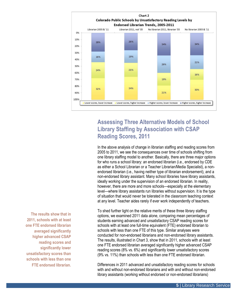

## **Assessing Three Alternative Models of School Library Staffing by Association with CSAP Reading Scores, 2011**

In the above analysis of change in librarian staffing and reading scores from 2005 to 2011, we see the consequences over time of schools shifting from one library staffing model to another. Basically, there are three major options for who runs a school library: an endorsed librarian (i.e., endorsed by CDE as either a School Librarian or a Teacher Librarian/Media Specialist), a nonendorsed librarian (i.e., having neither type of librarian endorsement), and a non-endorsed library assistant. Many school libraries have library assistants, ideally working under the supervision of an endorsed librarian. In reality, however, there are more and more schools—especially at the elementary level—where library assistants run libraries without supervision. It is the type of situation that would never be tolerated in the classroom teaching context at any level. Teacher aides rarely if ever work independently of teachers.

To shed further light on the relative merits of these three library staffing options, we examined 2011 data alone, comparing mean percentages of students earning advanced and unsatisfactory CSAP reading scores for schools with at least one full-time equivalent (FTE) endorsed librarian to schools with less than one FTE of this type. Similar analyses were conducted for non-endorsed librarians and non-endorsed library assistants. The results, illustrated in Chart 3, show that in 2011, schools with at least one FTE endorsed librarian averaged significantly higher advanced CSAP reading scores (8% vs. 6%) and significantly lower unsatisfactory scores (9% vs. 11%) than schools with less than one FTE endorsed librarian.

Differences in 2011 advanced and unsatisfactory reading scores for schools with and without non-endorsed librarians and with and without non-endorsed library assistants (working without endorsed or non-endorsed librarians)

**The results show that in 2011, schools with at least one FTE endorsed librarian averaged significantly higher advanced CSAP reading scores and significantly lower unsatisfactory scores than schools with less than one FTE endorsed librarian.**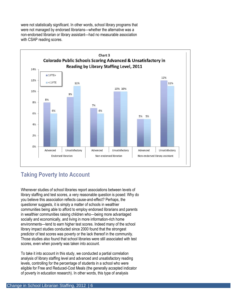were not statistically significant. In other words, school library programs that were not managed by endorsed librarians—whether the alternative was a non-endorsed librarian or library assistant—had no measurable association with CSAP reading scores.



## **Taking Poverty Into Account**

Whenever studies of school libraries report associations between levels of library staffing and test scores, a very reasonable question is posed: Why do you believe this association reflects cause-and-effect? Perhaps, the questioner suggests, it is simply a matter of schools in wealthier communities being able to afford to employ endorsed librarians and parents in wealthier communities raising children who—being more advantaged socially and economically, and living in more information-rich home environments—tend to earn higher test scores. Indeed many of the school library impact studies conducted since 2000 found that the strongest predictor of test scores was poverty or the lack thereof in the community. Those studies also found that school libraries were still associated with test scores, even when poverty was taken into account.

To take it into account in this study, we conducted a partial correlation analysis of library staffing level and advanced and unsatisfactory reading levels, controlling for the percentage of students in a school who were eligible for Free and Reduced-Cost Meals (the generally accepted indicator of poverty in education research). In other words, this type of analysis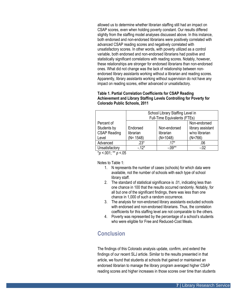allowed us to determine whether librarian staffing still had an impact on CSAP scores, even when holding poverty constant. Our results differed slightly from the staffing model analyses discussed above. In this instance, both endorsed and non-endorsed librarians were positively correlated with advanced CSAP reading scores and negatively correlated with unsatisfactory scores. In other words, with poverty utilized as a control variable, both endorsed and non-endorsed librarians had positive and statistically significant correlations with reading scores. Notably, however, these relationships are stronger for endorsed librarians than non-endorsed ones. What did not change was the lack of relationship between nonendorsed library assistants working without a librarian and reading scores. Apparently, library assistants working without supervision do not have any impact on reading scores, either advanced or unsatisfactory.

#### **Table 1. Partial Correlation Coefficients for CSAP Reading Achievement and Library Staffing Levels Controlling for Poverty for Colorado Public Schools, 2011**

|                     | School Library Staffing Level in |                                     |                   |  |  |  |
|---------------------|----------------------------------|-------------------------------------|-------------------|--|--|--|
|                     |                                  | <b>Full-Time Equivalents (FTEs)</b> |                   |  |  |  |
| Percent of          | Non-endorsed                     |                                     |                   |  |  |  |
| Students by         | Endorsed                         | Non-endorsed                        | library assistant |  |  |  |
| <b>CSAP Reading</b> | librarian                        | librarian                           | w/no librarian    |  |  |  |
| Level               | $(N = 1548)$                     | $(N=1048)$                          | $(N=766)$         |  |  |  |
| Advanced            | $.23*$                           | $.17*$                              | .06               |  |  |  |
| Unsatisfactory      | $-.12*$                          | $-.09**$                            | $-02$             |  |  |  |

\**p* <.001; \*\* *p* <.05

Notes to Table 1:

- 1. N represents the number of cases (schools) for which data were available, not the number of schools with each type of school library staff.
- 2. The standard of statistical significance is .01, indicating less than one chance in 100 that the results occurred randomly. Notably, for all but one of the significant findings, there was less than one chance in 1,000 of such a random occurrence.
- 3. The analysis for non-endorsed library assistants excluded schools with endorsed and non-endorsed librarians. Thus, the correlation coefficients for this staffing level are not comparable to the others.
- 4. Poverty was represented by the percentage of a school's students who were eligible for Free and Reduced-Cost Meals.

## **Conclusion**

The findings of this Colorado analysis update, confirm, and extend the findings of our recent SLJ article. Similar to the results presented in that article, we found that students at schools that gained or maintained an endorsed librarian to manage the library program averaged higher CSAP reading scores and higher increases in those scores over time than students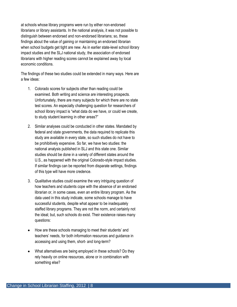at schools whose library programs were run by either non-endorsed librarians or library assistants. In the national analysis, it was not possible to distinguish between endorsed and non-endorsed librarians; so, these findings about the value of gaining or maintaining an endorsed librarian when school budgets get tight are new. As in earlier state-level school library impact studies and the SLJ national study, the association of endorsed librarians with higher reading scores cannot be explained away by local economic conditions.

The findings of these two studies could be extended in many ways. Here are a few ideas:

- 1. Colorado scores for subjects other than reading could be examined. Both writing and science are interesting prospects. Unfortunately, there are many subjects for which there are no state test scores. An especially challenging question for researchers of school library impact is "what data do we have, or could we create, to study student learning in other areas?"
- 2. Similar analyses could be conducted in other states. Mandated by federal and state governments, the data required to replicate this study are available in every state, so such studies do not have to be prohibitively expensive. So far, we have two studies: the national analysis published in SLJ and this state one. Similar studies should be done in a variety of different states around the U.S., as happened with the original Colorado-style impact studies. If similar findings can be reported from disparate settings, findings of this type will have more credence.
- 3. Qualitative studies could examine the very intriguing question of how teachers and students cope with the absence of an endorsed librarian or, in some cases, even an entire library program. As the data used in this study indicate, some schools manage to have successful students, despite what appear to be inadequately staffed library programs. They are not the norm, and certainly not the ideal; but, such schools do exist. Their existence raises many questions:
- How are these schools managing to meet their students' and teachers' needs, for both information resources and guidance in accessing and using them, short- and long-term?
- What alternatives are being employed in these schools? Do they rely heavily on online resources, alone or in combination with something else?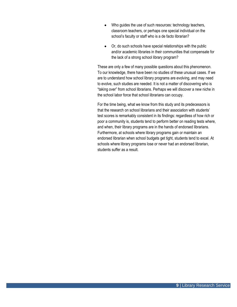- Who guides the use of such resources: technology teachers, classroom teachers, or perhaps one special individual on the school's faculty or staff who is a de facto librarian?
- Or, do such schools have special relationships with the public and/or academic libraries in their communities that compensate for the lack of a strong school library program?

These are only a few of many possible questions about this phenomenon. To our knowledge, there have been no studies of these unusual cases. If we are to understand how school library programs are evolving, and may need to evolve, such studies are needed. It is not a matter of discovering who is "taking over" from school librarians. Perhaps we will discover a new niche in the school labor force that school librarians can occupy.

For the time being, what we know from this study and its predecessors is that the research on school librarians and their association with students' test scores is remarkably consistent in its findings: regardless of how rich or poor a community is, students tend to perform better on reading tests where, and when, their library programs are in the hands of endorsed librarians. Furthermore, at schools where library programs gain or maintain an endorsed librarian when school budgets get tight, students tend to excel. At schools where library programs lose or never had an endorsed librarian, students suffer as a result.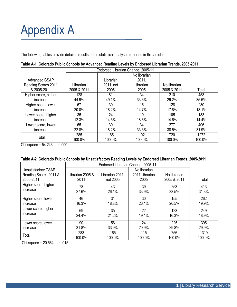# Appendix A

The following tables provide detailed results of the statistical analyses reported in this article.

|                      | Endorsed Librarian Change, 2005-11 |           |              |              |        |  |  |
|----------------------|------------------------------------|-----------|--------------|--------------|--------|--|--|
|                      |                                    |           | No librarian |              |        |  |  |
| Advanced CSAP        |                                    | Librarian | 2011,        |              |        |  |  |
| Reading Scores 2011  | Librarian                          | 2011, not | librarian    | No librarian |        |  |  |
| & 2005-2011          | 2005 & 2011                        | 2005      | 2005         | 2005 & 2011  | Total  |  |  |
| Higher score, higher | 128                                | 81        | 34           | 210          | 453    |  |  |
| increase             | 44.9%                              | 49.1%     | 33.3%        | 29.2%        | 35.6%  |  |  |
| Higher score, lower  | 57                                 | 30        | 15           | 128          | 230    |  |  |
| increase             | 20.0%                              | 18.2%     | 14.7%        | 17.8%        | 18.1%  |  |  |
| Lower score, higher  | 35                                 | 24        | 19           | 105          | 183    |  |  |
| increase             | 12.3%                              | 14.5%     | 18.6%        | 14.6%        | 14.4%  |  |  |
| Lower score, lower   | 65                                 | 30        | 34           | 277          | 406    |  |  |
| increase             | 22.8%                              | 18.2%     | 33.3%        | 38.5%        | 31.9%  |  |  |
| Total                | 285                                | 165       | 102          | 720          | 1272   |  |  |
|                      | 100.0%                             | 100.0%    | 100.0%       | 100.0%       | 100.0% |  |  |

| Table A-1. Colorado Public Schools by Advanced Reading Levels by Endorsed Librarian Trends, 2005-2011 |  |  |
|-------------------------------------------------------------------------------------------------------|--|--|
|                                                                                                       |  |  |

Chi-square =  $54.243$ ,  $p = .000$ 

| Table A-2. Colorado Public Schools by Unsatisfactory Reading Levels by Endorsed Librarian Trends, 2005-2011 |  |  |  |
|-------------------------------------------------------------------------------------------------------------|--|--|--|
|-------------------------------------------------------------------------------------------------------------|--|--|--|

|                            |                  | Endorsed Librarian Change, 2005-11 |                 |              |        |  |  |  |  |
|----------------------------|------------------|------------------------------------|-----------------|--------------|--------|--|--|--|--|
| <b>Unsatisfactory CSAP</b> |                  |                                    | No librarian    |              |        |  |  |  |  |
| Reading Scores 2011 &      | Librarian 2005 & | Librarian 2011,                    | 2011, librarian | No librarian |        |  |  |  |  |
| 2005-2011                  | 2011             | not 2005                           | 2005            | 2005 & 2011  | Total  |  |  |  |  |
| Higher score, higher       | 78               | 43                                 | 39              | 253          | 413    |  |  |  |  |
| increase                   | 27.6%            | 26.1%                              | 33.9%           | 33.5%        | 31.3%  |  |  |  |  |
| Higher score, lower        | 46               | 31                                 | 30              | 155          | 262    |  |  |  |  |
| increase                   | 16.3%            | 18.8%                              | 26.1%           | 20.5%        | 19.9%  |  |  |  |  |
| Lower score, higher        | 69               | 35                                 | 22              | 123          | 249    |  |  |  |  |
| increase                   | 24.4%            | 21.2%                              | 19.1%           | 16.3%        | 18.9%  |  |  |  |  |
| Lower score, lower         | 90               | 56                                 | 24              | 225          | 395    |  |  |  |  |
| increase                   | 31.8%            | 33.9%                              | 20.9%           | 29.8%        | 29.9%  |  |  |  |  |
| Total                      | 283              | 165                                | 115             | 756          | 1319   |  |  |  |  |
|                            | 100.0%           | 100.0%                             | 100.0%          | 100.0%       | 100.0% |  |  |  |  |

Chi-square =  $20.564$ ,  $p = .015$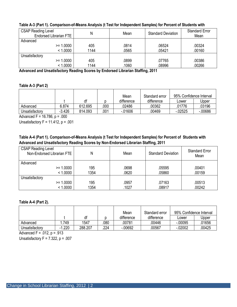| <b>CSAP Reading Level</b><br><b>Endorsed Librarian FTE</b> | N    | Mean  | <b>Standard Deviation</b> | <b>Standard Error</b><br>Mean |
|------------------------------------------------------------|------|-------|---------------------------|-------------------------------|
| Advanced                                                   |      |       |                           |                               |
| $>= 1.0000$                                                | 405  | .0814 | .06524                    | .00324                        |
| < 1.0000                                                   | 1144 | .0565 | .05421                    | .00160                        |
| Unsatisfactory                                             |      |       |                           |                               |
| $>= 1.0000$                                                | 405  | .0899 | .07765                    | .00386                        |
| < 1.0000                                                   | 1144 | .1060 | .08996                    | .00266                        |

### **Table A-3 (Part 1). Comparison-of-Means Analysis (t Test for Independent Samples) for Percent of Students with**

**Advanced and Unsatisfactory Reading Scores by Endorsed Librarian Staffing, 2011**

#### **Table A-3 (Part 2)**

|                |          |         |      | Mean       | Standard error | 95% Confidence Interval |          |  |
|----------------|----------|---------|------|------------|----------------|-------------------------|----------|--|
|                |          | df      |      | difference | difference     | Lower                   | Jpper    |  |
| Advanced       | 6.874    | 612.695 | 000  | 02486      | 00362          | 01776                   | 03196    |  |
| Unsatisfactory | $-3.426$ | 814.093 | .001 | $-0.01606$ | .00469         | $-02525$                | $-00686$ |  |

Advanced F =  $16.786$ , p = .000

Unsatisfactory  $F = 11.412$ ,  $p = .001$ 

## **Table A-4 (Part 1). Comparison-of-Means Analysis (t Test for Independent Samples) for Percent of Students with Advanced and Unsatisfactory Reading Scores by Non-Endorsed Librarian Staffing, 2011**

| <b>CSAP Reading Level</b><br>Non-Endorsed Librarian FTE | Ν           | Mean           | <b>Standard Deviation</b> | <b>Standard Error</b><br>Mean |
|---------------------------------------------------------|-------------|----------------|---------------------------|-------------------------------|
| Advanced<br>$>= 1.0000$<br>< 1.0000                     | 195<br>1354 | .0698<br>.0620 | .05595<br>.05860          | .00401<br>.00159              |
| Unsatisfactory<br>$>= 1.0000$<br>< 1.0000               | 195<br>1354 | .0957<br>.1027 | .07163<br>.08917          | .00513<br>.00242              |

#### **Table A-4 (Part 2).**

|                |       |         |     | Mean       | Standard error | 95% Confidence Interval |        |
|----------------|-------|---------|-----|------------|----------------|-------------------------|--------|
|                |       | df      |     | difference | difference     | Lower                   | Upper  |
| Advanced       | 749   | 1547    | 080 | 00781      | 00446          | $-00095$                | .01656 |
| Unsatisfactory | 1.220 | 288.207 | 224 | $-0.0692$  | 00567          | $-0.02002$              | .00425 |

Advanced F =  $.012$ , p =  $.913$ 

Unsatisfactory  $F = 7.322$ ,  $p = .007$